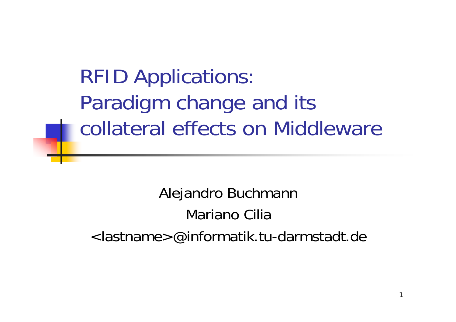RFID Applications: Paradigm change and its collateral effects on Middleware

Alejandro Buchmann Mariano Cilia<lastname>@informatik.tu-darmstadt.de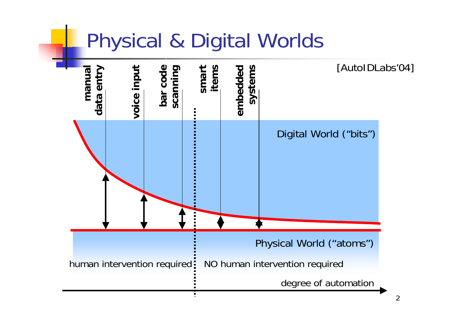#### Physical & Digital Worlds

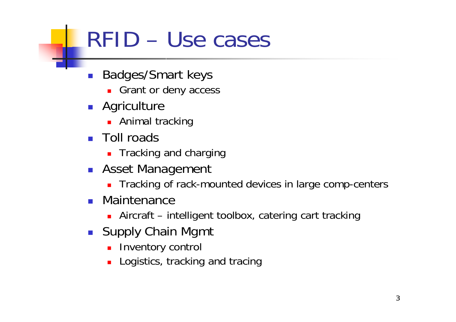# RFID – Use cases

- $\mathcal{L}_{\mathcal{A}}$  Badges/Smart keys
	- Grant or deny access
- **Agriculture** 
	- **Animal tracking**
- Toll roads
	- **Tracking and charging**
- **Asset Management** 
	- **Tracking of rack-mounted devices in large comp-centers**
- $\mathcal{L}_{\mathrm{max}}$  Maintenance
	- Aircraft intelligent toolbox, catering cart tracking
- **Supply Chain Mgmt** 
	- **Inventory control**
	- **Logistics, tracking and tracing**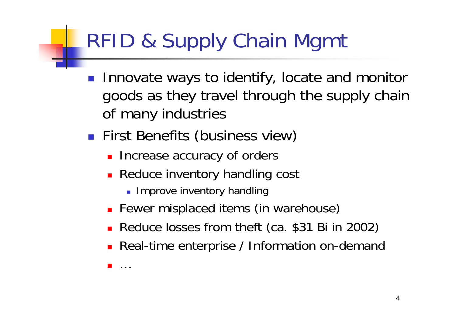# RFID & Supply Chain Mgmt

- $\mathcal{L}^{\mathcal{A}}$  Innovate ways to identify, locate and monitor goods as they travel through the supply chain of many industries
- **First Benefits (business view)** 
	- **Increase accuracy of orders**
	- **Reduce inventory handling cost** 
		- **Improve inventory handling**
	- **Fewer misplaced items (in warehouse)**
	- Reduce losses from theft (ca. \$31 Bi in 2002)
	- **Real-time enterprise / Information on-demand**

П …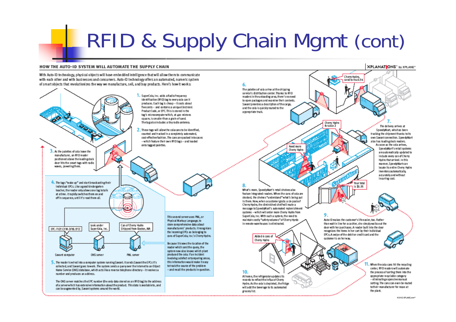# RFID & Supply Chain Mgmt (cont)

#### HOW THE AUTO-ID SYSTEM WILL AUTOMATE THE SUPPLY CHAIN

With Auto-ID technology, physical objects will have embedded intelligence that will allow them to communicate with each other and with businesses and consumers. Auto-ID technology offers an automated, numeric system of smart objects that revolutionizes the way we manufacture, sell, and buy products. Here's how it works:



**XPLANATIONS"** by XPLANE\*

Cheny Hydro

send to truck 34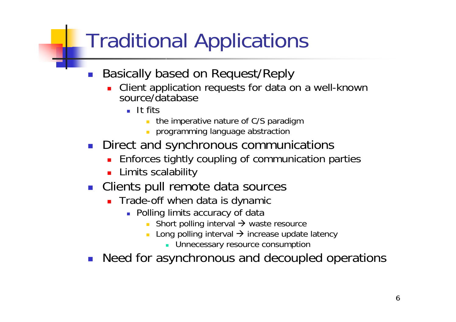## Traditional Applications

- $\mathcal{C}^{\mathcal{A}}$  Basically based on Request/Reply
	- Client application requests for data on a well-known source/database
		- $\blacksquare$  It fits
			- $\mathcal{L}^{\mathcal{L}}$ the imperative nature of C/S paradigm
			- programming language abstraction
- **Direct and synchronous communications** 
	- **Enforces tightly coupling of communication parties**
	- **Limits scalability**
- **Clients pull remote data sources** 
	- **Trade-off when data is dynamic** 
		- **Polling limits accuracy of data** 
			- Short polling interval  $\rightarrow$  waste resource
			- $\mathcal{L}_{\mathcal{A}}$ **Long polling interval**  $\rightarrow$  **increase update latency** 
				- **Unnecessary resource consumption**
- $\mathcal{L}(\mathcal{L})$ Need for asynchronous and decoupled operations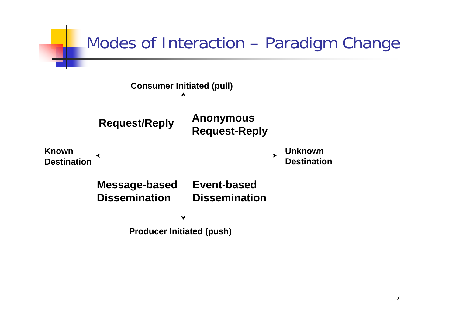

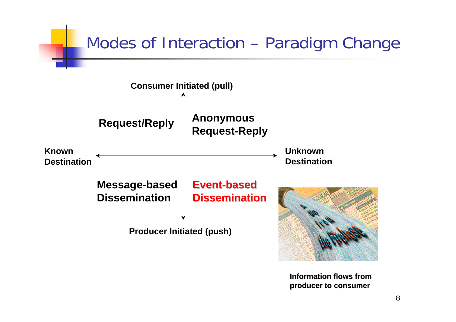



**Information flows fromproducer to consumer producer to consumer**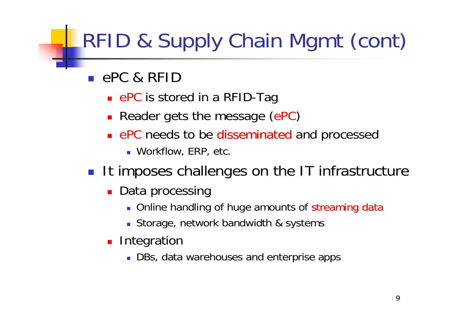# RFID & Supply Chain Mgmt (cont)

- ePC & RFID
	- ePC is stored in a RFID-Tag
	- **Reader gets the message (ePC)**
	- **ePC** needs to be disseminated and processed
		- Workflow, ERP, etc.
- It imposes challenges on the IT infrastructure
	- **Data processing** 
		- Online handling of huge amounts of streaming data
		- Storage, network bandwidth & systems
	- **Integration** 
		- **DBs, data warehouses and enterprise apps**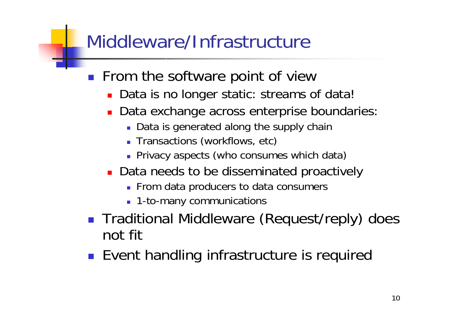#### Middleware/Infrastructure

- $\mathcal{L}_{\mathcal{A}}$  From the software point of view
	- **Data is no longer static: streams of data!**
	- Data exchange across enterprise boundaries:
		- **Data is generated along the supply chain**
		- **Transactions (workflows, etc)**
		- **Privacy aspects (who consumes which data)**
	- **Data needs to be disseminated proactively** 
		- **From data producers to data consumers**
		- **1**-to-many communications
- **Traditional Middleware (Request/reply) does** not fit
- **Exent handling infrastructure is required**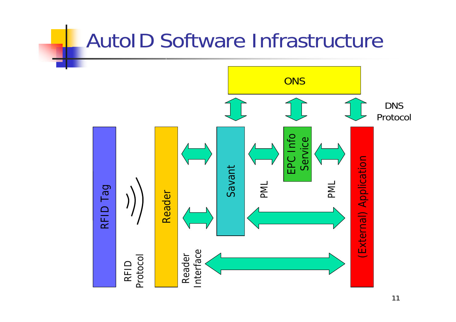#### AutoID Software Infrastructure

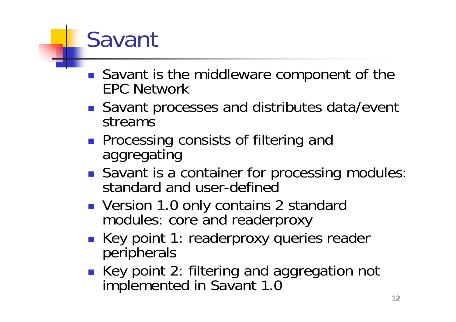# Savant

- Savant is the middleware component of the EPC Network
- Savant processes and distributes data/event streams
- **Processing consists of filtering and** aggregating
- Savant is a container for processing modules: standard and user-defined
- Version 1.0 only contains 2 standard modules: core and readerproxy
- Key point 1: readerproxy queries reader peripherals
- Key point 2: filtering and aggregation not implemented in Savant 1.0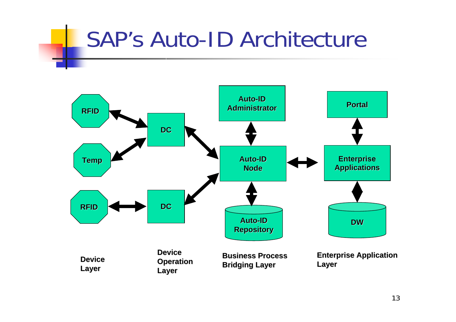# SAP's Auto-ID Architecture

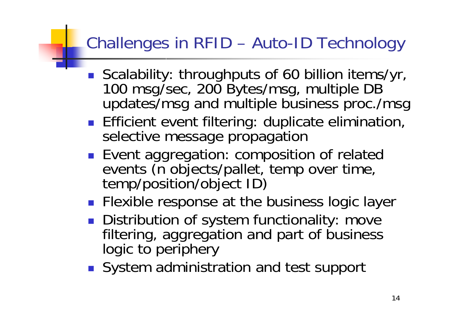#### Challenges in RFID – Auto-ID Technology

- $\mathcal{L}_{\text{max}}$ Scalability: throughputs of 60 billion items/yr,<br>100 msg/sec, 200 Bytes/msg, multiple DB<br>updates/msg and multiple business proc./msg
- **Efficient event filtering: duplicate elimination,** selective message propagation
- $\mathbb{R}^n$ Event aggregation: composition of related events (n objects/pallet, temp over time, temp/position/object ID)
- **Filexible response at the business logic layer**
- **Distribution of system functionality: move** filtering, aggregation and part of business logic to periphery
- System administration and test support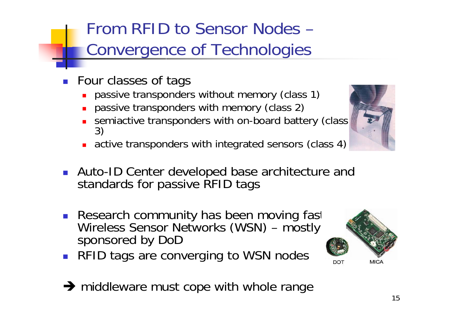#### From RFID to Sensor Nodes –Convergence of Technologies

- **Four classes of tags** 
	- **passive transponders without memory (class 1)**
	- **passive transponders with memory (class 2)**
	- ٠ ■ semiactive transponders with on-board battery (class 3)
	- **active transponders with integrated sensors (class 4)**
- Auto-ID Center developed base architecture and standards for passive RFID tags
- Research community has been moving fast Wireless Sensor Networks (WSN) – mostly sponsored by DoD
- RFID tags are converging to WSN nodes
- $\rightarrow$  middleware must cope with whole range



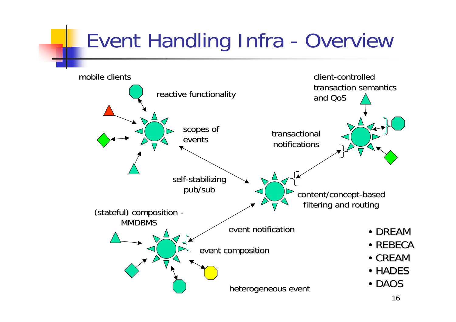### Event Handling Infra - Overview

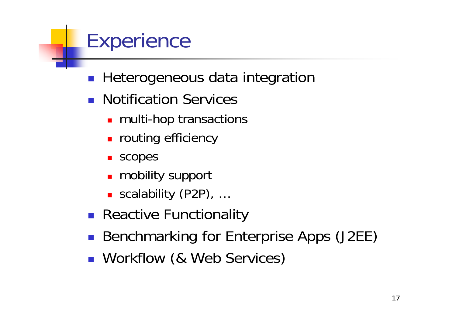#### **Experience**

- $\mathcal{L}_{\mathrm{eff}}$ Heterogeneous data integration
- **Notification Services** 
	- **nulti-hop transactions**
	- **n** routing efficiency
	- scopes
	- **n** mobility support
	- scalability (P2P), ...
- **Reactive Functionality**
- **Benchmarking for Enterprise Apps (J2EE)**
- **Norkflow (& Web Services)**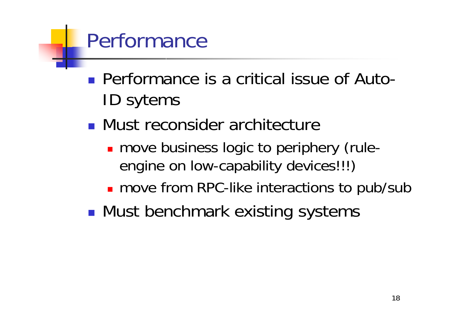#### Performance

- Performance is a critical issue of Auto-ID sytems
- **Nust reconsider architecture** 
	- **n** move business logic to periphery (ruleengine on low-capability devices!!!)
	- **n** move from RPC-like interactions to pub/sub
- $\mathbb{R}^3$ **Nust benchmark existing systems**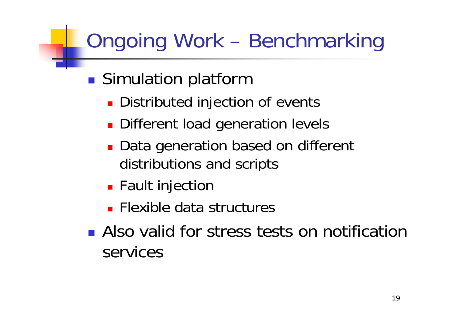## Ongoing Work – Benchmarking

- $\mathbb{R}^3$ **Simulation platform** 
	- **Distributed injection of events**
	- **Different load generation levels**
	- Data generation based on different distributions and scripts
	- **E** Fault injection
	- **Flexible data structures**
- **Also valid for stress tests on notification** services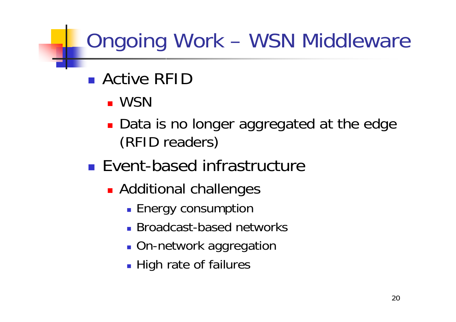### Ongoing Work – WSN Middleware

- **Active RFID** 
	- WSN
	- **Data is no longer aggregated at the edge** (RFID readers)
- **Event-based infrastructure** 
	- **Additional challenges** 
		- **Energy consumption**
		- **Broadcast-based networks**
		- **On-network aggregation**
		- **High rate of failures**